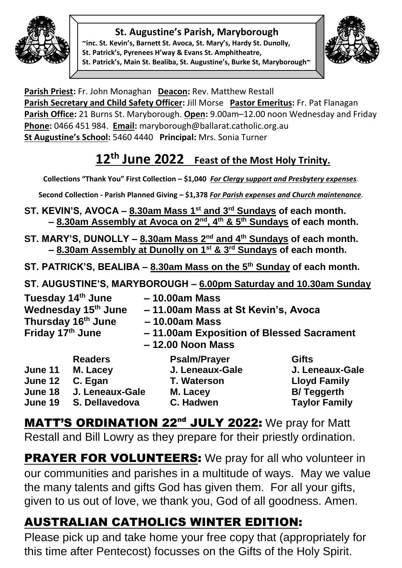

#### **St. Augustine's Parish, Maryborough**

**~inc. St. Kevin's, Barnett St. Avoca, St. Mary's, Hardy St. Dunolly, St. Patrick's, Pyrenees H'way & Evans St. Amphitheatre, St. Patrick's, Main St. Bealiba, St. Augustine's, Burke St, Maryborough~**



**Parish Priest:** Fr. John Monaghan **Deacon:** Rev. Matthew Restall Parish Secretary and Child Safety Officer: Jill Morse Pastor Emeritus: Fr. Pat Flanagan **Parish Office:** 21 Burns St. Maryborough. **Open:** 9.00am–12.00 noon Wednesday and Friday **Phone:** 0466 451 984. **Email:** [maryborough@ballarat.catholic.org.au](mailto:maryborough@ballarat.catholic.org.au)  **St Augustine's School:** 5460 4440 **Principal:** Mrs. Sonia Turner

## **12th June 2022 Feast of the Most Holy Trinity.**

**Collections "Thank You" First Collection – \$1,040** *For Clergy* **s***upport and Presbytery expenses.* 

**Second Collection - Parish Planned Giving – \$1,378** *For Parish expenses and Church maintenance.*

- **ST. KEVIN'S, AVOCA – 8.30am Mass 1st and 3rd Sundays of each month. – 8.30am Assembly at Avoca on 2nd, 4th & 5th Sundays of each month.**
- **ST. MARY'S, DUNOLLY – 8.30am Mass 2nd and 4th Sundays of each month. – 8.30am Assembly at Dunolly on 1st & 3rd Sundays of each month.**
- **ST. PATRICK'S, BEALIBA – 8.30am Mass on the 5th Sunday of each month.**
- **ST. AUGUSTINE'S, MARYBOROUGH – 6.00pm Saturday and 10.30am Sunday**

| Tuesday 14th June<br>Wednesday 15th June |                 | $-10.00am$ Mass<br>- 11.00am Mass at St Kevin's, Avoca |                                          |  |  |
|------------------------------------------|-----------------|--------------------------------------------------------|------------------------------------------|--|--|
| Thursday 16 <sup>th</sup> June           |                 | $-10.00am$ Mass                                        |                                          |  |  |
| Friday 17th June                         |                 | $-12.00$ Noon Mass                                     | -11.00am Exposition of Blessed Sacrament |  |  |
|                                          | <b>Readers</b>  | <b>Psalm/Prayer</b>                                    | <b>Gifts</b>                             |  |  |
| June 11                                  | M. Lacey        | J. Leneaux-Gale                                        | J. Leneaux-Gale                          |  |  |
| June 12                                  | C. Egan         | <b>T. Waterson</b>                                     | <b>Lloyd Family</b>                      |  |  |
| June 18                                  | J. Leneaux-Gale | M. Lacey                                               | <b>B/Teggerth</b>                        |  |  |
| June 19                                  | S. Dellavedova  | C. Hadwen                                              | <b>Taylor Family</b>                     |  |  |

**MATT'S ORDINATION 22<sup>nd</sup> JULY 2022:** We pray for Matt Restall and Bill Lowry as they prepare for their priestly ordination.

**PRAYER FOR VOLUNTEERS:** We pray for all who volunteer in our communities and parishes in a multitude of ways. May we value the many talents and gifts God has given them. For all your gifts, given to us out of love, we thank you, God of all goodness. Amen.

# AUSTRALIAN CATHOLICS WINTER EDITION:

Please pick up and take home your free copy that (appropriately for this time after Pentecost) focusses on the Gifts of the Holy Spirit.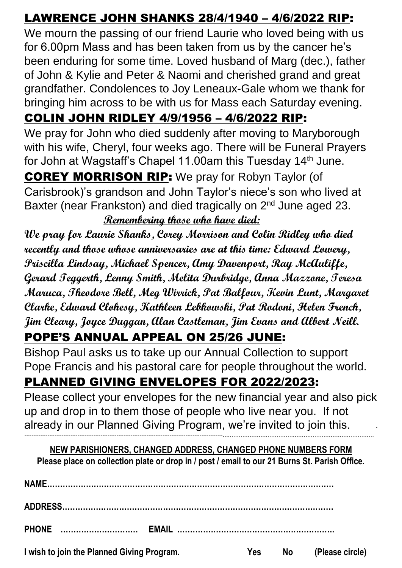#### LAWRENCE JOHN SHANKS 28/4/1940 – 4/6/2022 RIP:

We mourn the passing of our friend Laurie who loved being with us for 6.00pm Mass and has been taken from us by the cancer he's been enduring for some time. Loved husband of Marg (dec.), father of John & Kylie and Peter & Naomi and cherished grand and great grandfather. Condolences to Joy Leneaux-Gale whom we thank for bringing him across to be with us for Mass each Saturday evening.

### COLIN JOHN RIDLEY 4/9/1956 – 4/6/2022 RIP:

We pray for John who died suddenly after moving to Maryborough with his wife, Cheryl, four weeks ago. There will be Funeral Prayers for John at Wagstaff's Chapel 11.00am this Tuesday 14th June.

COREY MORRISON RIP: We pray for Robyn Taylor (of Carisbrook)'s grandson and John Taylor's niece's son who lived at Baxter (near Frankston) and died tragically on 2<sup>nd</sup> June aged 23. **Remembering those who have died:** 

**We pray for Laurie Shanks, Corey Morrison and Colin Ridley who died recently and those whose anniversaries are at this time: Edward Lowery, Priscilla Lindsay, Michael Spencer, Amy Davenport, Ray McAuliffe, Gerard Teggerth, Lenny Smith, Melita Durbridge, Anna Mazzone, Teresa Maruca, Theodore Bell, Meg Wirrick, Pat Balfour, Kevin Lunt, Margaret Clarke, Edward Clohesy, Kathleen Lebkowski, Pat Rodoni, Helen French, Jim Cleary, Joyce Duggan, Alan Castleman, Jim Evans and Albert Neill.**

#### POPE'S ANNUAL APPEAL ON 25/26 JUNE:

Bishop Paul asks us to take up our Annual Collection to support Pope Francis and his pastoral care for people throughout the world.

## PLANNED GIVING ENVELOPES FOR 2022/2023:

Please collect your envelopes for the new financial year and also pick up and drop in to them those of people who live near you. If not already in our Planned Giving Program, we're invited to join this. **- ----------------------------------------------------------------------------------------------------------------…………………………………………………………………………**

**NEW PARISHIONERS, CHANGED ADDRESS, CHANGED PHONE NUMBERS FORM Please place on collection plate or drop in / post / email to our 21 Burns St. Parish Office.**

| NAME.                                      |     |           |                 |
|--------------------------------------------|-----|-----------|-----------------|
|                                            |     |           |                 |
| <b>PHONE</b><br><b>EMAIL</b>               |     |           |                 |
| I wish to join the Planned Giving Program. | Yes | <b>No</b> | (Please circle) |